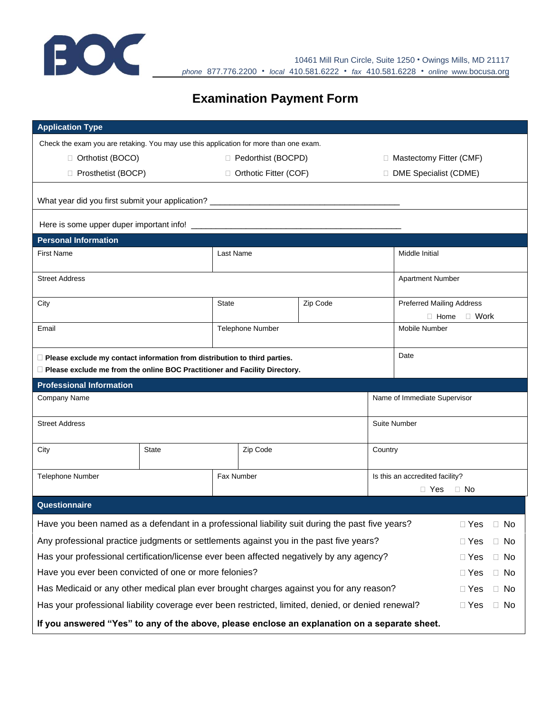

## **Examination Payment Form**

| <b>Application Type</b>                                                                                                                                        |                         |                      |                         |          |                                 |                                                                |  |  |  |  |  |
|----------------------------------------------------------------------------------------------------------------------------------------------------------------|-------------------------|----------------------|-------------------------|----------|---------------------------------|----------------------------------------------------------------|--|--|--|--|--|
| Check the exam you are retaking. You may use this application for more than one exam.                                                                          |                         |                      |                         |          |                                 |                                                                |  |  |  |  |  |
| □ Orthotist (BOCO)                                                                                                                                             |                         | □ Pedorthist (BOCPD) |                         |          |                                 | □ Mastectomy Fitter (CMF)                                      |  |  |  |  |  |
| □ Prosthetist (BOCP)                                                                                                                                           |                         |                      | □ Orthotic Fitter (COF) |          |                                 | DME Specialist (CDME)                                          |  |  |  |  |  |
| What year did you first submit your application? _______________________________                                                                               |                         |                      |                         |          |                                 |                                                                |  |  |  |  |  |
|                                                                                                                                                                |                         |                      |                         |          |                                 |                                                                |  |  |  |  |  |
| <b>Personal Information</b>                                                                                                                                    |                         |                      |                         |          |                                 |                                                                |  |  |  |  |  |
| <b>First Name</b>                                                                                                                                              |                         | Last Name            |                         |          |                                 | Middle Initial                                                 |  |  |  |  |  |
| <b>Street Address</b>                                                                                                                                          |                         |                      |                         |          |                                 | <b>Apartment Number</b>                                        |  |  |  |  |  |
| City                                                                                                                                                           |                         | <b>State</b>         |                         | Zip Code |                                 | <b>Preferred Mailing Address</b><br>$\Box$ Work<br>$\Box$ Home |  |  |  |  |  |
| Email                                                                                                                                                          |                         |                      | <b>Telephone Number</b> |          |                                 | <b>Mobile Number</b>                                           |  |  |  |  |  |
| $\Box$ Please exclude my contact information from distribution to third parties.<br>Please exclude me from the online BOC Practitioner and Facility Directory. |                         |                      |                         |          |                                 | Date                                                           |  |  |  |  |  |
| <b>Professional Information</b>                                                                                                                                |                         |                      |                         |          |                                 |                                                                |  |  |  |  |  |
| Company Name                                                                                                                                                   |                         |                      |                         |          |                                 | Name of Immediate Supervisor                                   |  |  |  |  |  |
| <b>Street Address</b>                                                                                                                                          |                         |                      |                         |          | <b>Suite Number</b>             |                                                                |  |  |  |  |  |
| City                                                                                                                                                           | <b>State</b>            |                      | Zip Code                |          | Country                         |                                                                |  |  |  |  |  |
| <b>Telephone Number</b>                                                                                                                                        |                         | Fax Number           |                         |          | Is this an accredited facility? |                                                                |  |  |  |  |  |
|                                                                                                                                                                |                         |                      |                         |          | $\Box$ No<br>$\Box$ Yes         |                                                                |  |  |  |  |  |
| Questionnaire                                                                                                                                                  |                         |                      |                         |          |                                 |                                                                |  |  |  |  |  |
| Have you been named as a defendant in a professional liability suit during the past five years?                                                                |                         |                      |                         |          |                                 | $\Box$ Yes $\Box$ No                                           |  |  |  |  |  |
| Any professional practice judgments or settlements against you in the past five years?                                                                         | $\Box$ Yes<br>$\Box$ No |                      |                         |          |                                 |                                                                |  |  |  |  |  |
| Has your professional certification/license ever been affected negatively by any agency?                                                                       | $\Box$ No<br>$\Box$ Yes |                      |                         |          |                                 |                                                                |  |  |  |  |  |
| Have you ever been convicted of one or more felonies?                                                                                                          | $\Box$ No<br>$\Box$ Yes |                      |                         |          |                                 |                                                                |  |  |  |  |  |
| Has Medicaid or any other medical plan ever brought charges against you for any reason?                                                                        | $\Box$ No<br>$\Box$ Yes |                      |                         |          |                                 |                                                                |  |  |  |  |  |
| Has your professional liability coverage ever been restricted, limited, denied, or denied renewal?                                                             |                         |                      |                         |          |                                 | $\Box$ No<br>$\Box$ Yes                                        |  |  |  |  |  |
| If you answered "Yes" to any of the above, please enclose an explanation on a separate sheet.                                                                  |                         |                      |                         |          |                                 |                                                                |  |  |  |  |  |